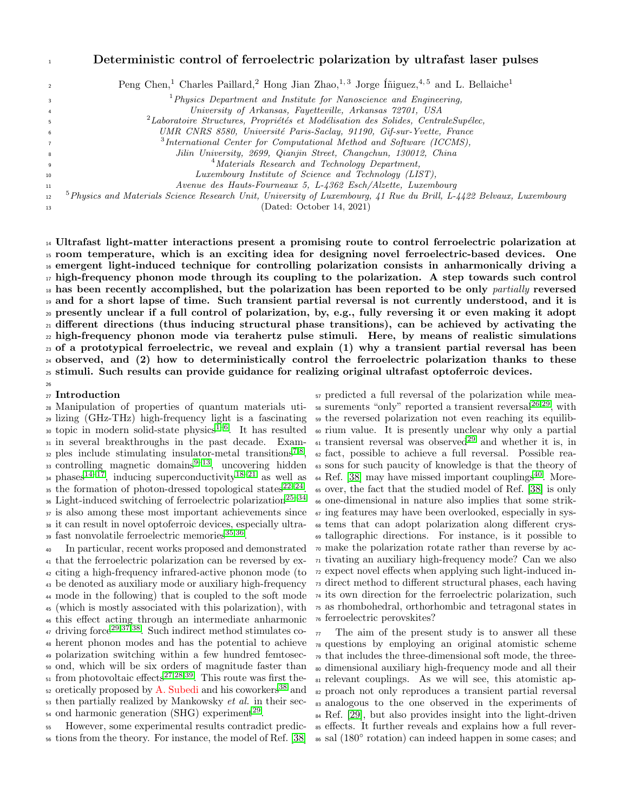## Deterministic control of ferroelectric polarization by ultrafast laser pulses

| $\overline{2}$   | Peng Chen, <sup>1</sup> Charles Paillard, <sup>2</sup> Hong Jian Zhao, <sup>1,3</sup> Jorge Iniguez, <sup>4,5</sup> and L. Bellaiche <sup>1</sup> |
|------------------|---------------------------------------------------------------------------------------------------------------------------------------------------|
| $\overline{3}$   | ${}^{1}$ Physics Department and Institute for Nanoscience and Engineering,                                                                        |
| 4                | University of Arkansas, Fayetteville, Arkansas 72701, USA                                                                                         |
| 5                | ${}^{2}$ Laboratoire Structures, Propriétés et Modélisation des Solides, CentraleSupélec,                                                         |
| 6                | UMR CNRS 8580, Université Paris-Saclay, 91190, Gif-sur-Yvette, France                                                                             |
| $\overline{7}$   | $3$ International Center for Computational Method and Software (ICCMS),                                                                           |
| 8                | Jilin University, 2699, Qianjin Street, Changchun, 130012, China                                                                                  |
| 9                | <sup>4</sup> Materials Research and Technology Department,                                                                                        |
| 10 <sup>10</sup> | Luxembourg Institute of Science and Technology (LIST),                                                                                            |
| 11               | Avenue des Hauts-Fourneaux 5, L-4362 Esch/Alzette, Luxembourg                                                                                     |
| 12               | $5$ Physics and Materials Science Research Unit, University of Luxembourg, 41 Rue du Brill, L-4422 Belvaux, Luxembourg                            |
| 13               | (Dated: October 14, 2021)                                                                                                                         |

 Ultrafast light-matter interactions present a promising route to control ferroelectric polarization at room temperature, which is an exciting idea for designing novel ferroelectric-based devices. One emergent light-induced technique for controlling polarization consists in anharmonically driving a high-frequency phonon mode through its coupling to the polarization. A step towards such control has been recently accomplished, but the polarization has been reported to be only *partially* reversed and for a short lapse of time. Such transient partial reversal is not currently understood, and it is presently unclear if a full control of polarization, by, e.g., fully reversing it or even making it adopt different directions (thus inducing structural phase transitions), can be achieved by activating the <sub>22</sub> high-frequency phonon mode via terahertz pulse stimuli. Here, by means of realistic simulations of a prototypical ferroelectric, we reveal and explain (1) why a transient partial reversal has been observed, and (2) how to deterministically control the ferroelectric polarization thanks to these stimuli. Such results can provide guidance for realizing original ultrafast optoferroic devices. 

### Introduction

 lizing (GHz-THz) high-frequency light is a fascinating <sup>59</sup> the reversed polarization not even reaching its equilib-so topic in modern solid-state physics<sup>[1](#page-7-0)[–6](#page-7-1)</sup>. It has resulted  $\circ$  rium value. It is presently unclear why only a partial in several breakthroughs in the past decade. Exam-<sup>32</sup> ples include stimulating insulator-metal transitions<sup>[7,](#page-7-2)[8](#page-7-3)</sup>, 33 controlling magnetic domains<sup>[9](#page-7-4)-13</sup>, uncovering hidden <sup>34</sup> phases<sup>[14](#page-7-6)[–17](#page-7-7)</sup>, inducing superconductivity<sup>[18–](#page-7-8)[21](#page-7-9)</sup> as well as <sup>35</sup> the formation of photon-dressed topological states<sup>22-[24](#page-7-11)</sup>. <sup>36</sup> Light-induced switching of ferroelectric polarization<sup>[25–](#page-7-12)[34](#page-7-13)</sup> is also among these most important achievements since it can result in novel optoferroic devices, especially ultra-<sup>39</sup> fast nonvolatile ferroelectric memories<sup>[35,](#page-7-14)[36](#page-7-15)</sup>.

 In particular, recent works proposed and demonstrated that the ferroelectric polarization can be reversed by ex- citing a high-frequency infrared-active phonon mode (to be denoted as auxiliary mode or auxiliary high-frequency mode in the following) that is coupled to the soft mode (which is mostly associated with this polarization), with this effect acting through an intermediate anharmonic <sup>47</sup> driving force<sup>[29,](#page-7-16)[37](#page-7-17)[,38](#page-7-18)</sup>. Such indirect method stimulates co- herent phonon modes and has the potential to achieve polarization switching within a few hundred femtosec- ond, which will be six orders of magnitude faster than  $\epsilon$ <sub>51</sub> from photovoltaic effects<sup>[27](#page-7-19)[,28](#page-7-20)[,39](#page-7-21)</sup>. This route was first the-<sup>52</sup> oretically proposed by A. Subedi and his coworkers<sup>[38](#page-7-18)</sup> and then partially realized by Mankowsky *et al.* in their sec-<sup>54</sup> ond harmonic generation (SHG) experiment<sup>[29](#page-7-16)</sup>.

 However, some experimental results contradict predic-tions from the theory. For instance, the model of Ref. [\[38\]](#page-7-18)

28 Manipulation of properties of quantum materials uti- so surements "only" reported a transient reversal<sup>[26](#page-7-22)[,29](#page-7-16)</sup>, with predicted a full reversal of the polarization while mea- $\epsilon_1$  transient reversal was observed<sup>[29](#page-7-16)</sup> and whether it is, in fact, possible to achieve a full reversal. Possible rea- sons for such paucity of knowledge is that the theory of Ref. [\[38\]](#page-7-18) may have missed important couplings<sup>[40](#page-7-23)</sup>. More- over, the fact that the studied model of Ref. [\[38\]](#page-7-18) is only one-dimensional in nature also implies that some strik- ing features may have been overlooked, especially in sys- tems that can adopt polarization along different crys- tallographic directions. For instance, is it possible to make the polarization rotate rather than reverse by ac- tivating an auxiliary high-frequency mode? Can we also expect novel effects when applying such light-induced in- direct method to different structural phases, each having its own direction for the ferroelectric polarization, such as rhombohedral, orthorhombic and tetragonal states in ferroelectric perovskites?

> The aim of the present study is to answer all these questions by employing an original atomistic scheme that includes the three-dimensional soft mode, the three- dimensional auxiliary high-frequency mode and all their relevant couplings. As we will see, this atomistic ap- proach not only reproduces a transient partial reversal analogous to the one observed in the experiments of Ref. [\[29\]](#page-7-16), but also provides insight into the light-driven effects. It further reveals and explains how a full reversal (180◦ rotation) can indeed happen in some cases; and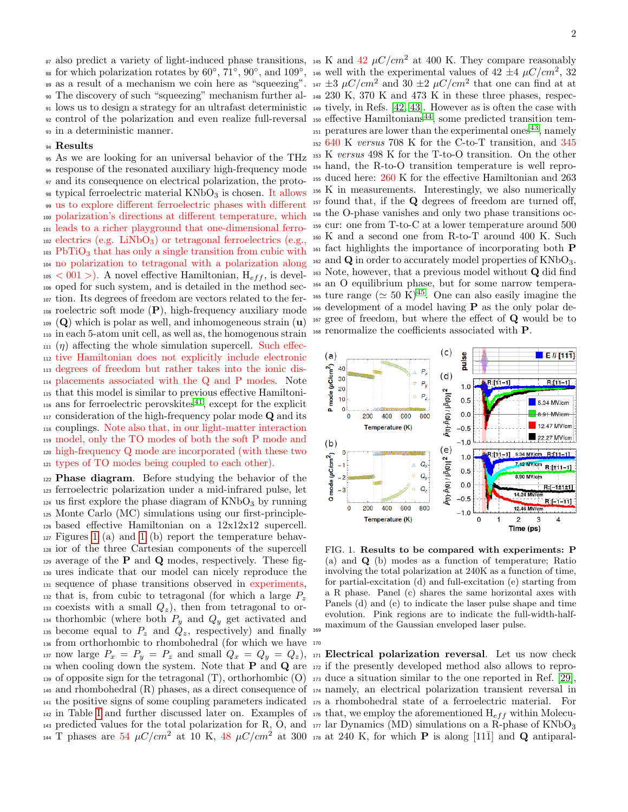in a deterministic manner.

### Results

 As we are looking for an universal behavior of the THz response of the resonated auxiliary high-frequency mode and its consequence on electrical polarization, the proto- typical ferroelectric material  $KNbO<sub>3</sub>$  is chosen. It allows us to explore different ferroelectric phases with different polarization's directions at different temperature, which leads to a richer playground that one-dimensional ferro- $_{102}$  electrics (e.g. LiNbO<sub>3</sub>) or tetragonal ferroelectrics (e.g., PbTiO<sub>3</sub> that has only a single transition from cubic with no polarization to tetragonal with a polarization along  $105 < 001$ ). A novel effective Hamiltonian,  $H_{eff}$ , is devel- oped for such system, and is detailed in the method sec- tion. Its degrees of freedom are vectors related to the fer- roelectric soft mode (P), high-frequency auxiliary mode  $_{109}$  (Q) which is polar as well, and inhomogeneous strain (u) in each 5-atom unit cell, as well as, the homogenous strain (*η*) affecting the whole simulation supercell. Such effec- tive Hamiltonian does not explicitly include electronic degrees of freedom but rather takes into the ionic dis- placements associated with the Q and P modes. Note that this model is similar to previous effective Hamiltoni-<sup>116</sup> ans for ferroelectric perovskites<sup>[41](#page-7-24)</sup>, except for the explicit <sup>117</sup> consideration of the high-frequency polar mode **Q** and its couplings. Note also that, in our light-matter interaction model, only the TO modes of both the soft P mode and high-frequency Q mode are incorporated (with these two types of TO modes being coupled to each other).

 Phase diagram. Before studying the behavior of the ferroelectric polarization under a mid-infrared pulse, let us first explore the phase diagram of  $KNbO<sub>3</sub>$  by running Monte Carlo (MC) simulations using our first-principle- based effective Hamiltonian on a 12x12x12 supercell.  $_{127}$  Figures [1](#page-1-0) (a) and 1 (b) report the temperature behav- ior of the three Cartesian components of the supercell  $_{129}$  average of the **P** and **Q** modes, respectively. These fig- ures indicate that our model can nicely reproduce the sequence of phase transitions observed in experiments,  $_{132}$  that is, from cubic to tetragonal (for which a large  $P_z$ 133 coexists with a small  $Q_z$ ), then from tetragonal to or-<sup>134</sup> thorhombic (where both  $P_y$  and  $Q_y$  get activated and <sup>135</sup> become equal to  $P_z$  and  $Q_z$ , respectively) and finally <sup>169</sup> from orthorhombic to rhombohedral (for which we have 170 <sup>137</sup> now large  $P_x = P_y = P_z$  and small  $Q_x = Q_y = Q_z$ ), 171 **Electrical polarization reversal**. Let us now check  $_{138}$  when cooling down the system. Note that **P** and **Q** are  $_{172}$  if the presently developed method also allows to repro- of opposite sign for the tetragonal (T), orthorhombic (O) <sup>173</sup> duce a situation similar to the one reported in Ref. [\[29\]](#page-7-16), and rhombohedral (R) phases, as a direct consequence of <sup>174</sup> namely, an electrical polarization transient reversal in the positive signs of some coupling parameters indicated <sup>175</sup> a rhombohedral state of a ferroelectric material. For <sup>142</sup> in Table [I](#page-3-0) and further discussed later on. Examples of  $\mu$ <sup>56</sup> that, we employ the aforementioned  $H_{eff}$  within Molecu- predicted values for the total polarization for R, O, and <sup>144</sup> T phases are 54  $\mu$ C/cm<sup>2</sup> at 10 K, 48  $\mu$ C/cm<sup>2</sup> at 300

87 also predict a variety of light-induced phase transitions, 145 K and  $42 \mu C/cm^2$  at 400 K. They compare reasonably ss for which polarization rotates by  $60^{\circ}$ ,  $71^{\circ}$ ,  $90^{\circ}$ , and  $109^{\circ}$ , 146 well with the experimental values of  $42 \pm 4 \mu C/cm^2$ ,  $32$ <sup>89</sup> as a result of a mechanism we coin here as "squeezing".  $\mu$   $\pm$ 3  $\mu$ C/cm<sup>2</sup> and 30  $\pm$ 2  $\mu$ C/cm<sup>2</sup> that one can find at at The discovery of such "squeezing" mechanism further al-<sup>148</sup> 230 K, 370 K and 473 K in these three phases, respec- lows us to design a strategy for an ultrafast deterministic <sup>149</sup> tively, in Refs. [\[42,](#page-7-25) [43\]](#page-7-26). However as is often the case with <sup>92</sup> control of the polarization and even realize full-reversal <sup>150</sup> effective Hamiltonians<sup>[44](#page-8-0)</sup>, some predicted transition tem-<sup>151</sup> peratures are lower than the experimental ones<sup>[43](#page-7-26)</sup>, namely 640 K versus 708 K for the C-to-T transition, and 345 K versus 498 K for the T-to-O transition. On the other hand, the R-to-O transition temperature is well repro- duced here: 260 K for the effective Hamiltonian and 263 K in measurements. Interestingly, we also numerically found that, if the Q degrees of freedom are turned off, the O-phase vanishes and only two phase transitions oc- cur: one from T-to-C at a lower temperature around 500 K and a second one from R-to-T around 400 K. Such fact highlights the importance of incorporating both P  $_{162}$  and Q in order to accurately model properties of KNbO<sub>3</sub>. Note, however, that a previous model without Q did find an O equilibrium phase, but for some narrow tempera-<sup>165</sup> ture range ( $\simeq 50 \text{ K}$ )<sup>[45](#page-8-1)</sup>. One can also easily imagine the development of a model having P as the only polar de- gree of freedom, but where the effect of Q would be to renormalize the coefficients associated with P.



<span id="page-1-0"></span>FIG. 1. Results to be compared with experiments: P (a) and Q (b) modes as a function of temperature; Ratio involving the total polarization at 240K as a function of time, for partial-excitation (d) and full-excitation (e) starting from a R phase. Panel (c) shares the same horizontal axes with Panels (d) and (e) to indicate the laser pulse shape and time evolution. Pink regions are to indicate the full-width-halfmaximum of the Gaussian enveloped laser pulse.

 $_{177}$  lar Dynamics (MD) simulations on a R-phase of KNbO<sub>3</sub>  $_{178}$  at 240 K, for which **P** is along [11 $\overline{1}$ ] and **Q** antiparal-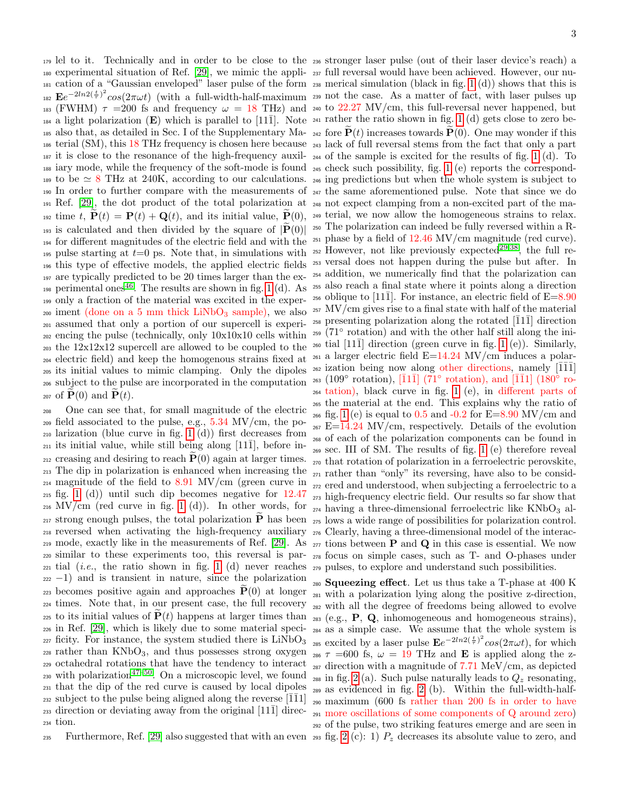<sup>179</sup> lel to it. Technically and in order to be close to the <sup>236</sup> stronger laser pulse (out of their laser device's reach) a <sup>180</sup> experimental situation of Ref. [\[29\]](#page-7-16), we mimic the appli-<sup>237</sup> full reversal would have been achieved. However, our nu-<sup>181</sup> cation of a "Gaussian enveloped" laser pulse of the form <sup>238</sup> merical simulation (black in fig. [1](#page-1-0) (d)) shows that this is <sup>182</sup>  $\mathbf{E}e^{-2ln(2(\frac{t}{\tau})^2}cos(2\pi\omega t)$  (with a full-width-half-maximum <sup>239</sup> not the case. As a matter of fact, with laser pulses up 183 (FWHM)  $\tau$  =200 fs and frequency  $\omega$  = 18 THz) and 240 to 22.27 MV/cm, this full-reversal never happened, but  $_{184}$  a light polarization (E) which is parallel to [11 $\bar{1}$ ]. Note  $_{241}$  rather the ratio shown in fig. [1](#page-1-0) (d) gets close to zero be-<sup>185</sup> also that, as detailed in Sec. I of the Supplementary Ma-  $_{242}$  fore  $P(t)$  increases towards  $P(0)$ . One may wonder if this <sup>186</sup> terial (SM), this 18 THz frequency is chosen here because <sup>243</sup> lack of full reversal stems from the fact that only a part  $\frac{187}{187}$  it is close to the resonance of the high-frequency auxil- $\frac{1}{244}$  of the sample is excited for the results of fig. [1](#page-1-0) (d). To <sup>188</sup> iary mode, while the frequency of the soft-mode is found <sup>245</sup> check such possibility, fig. [1](#page-1-0) (e) reports the correspond-189 to be  $\simeq 8$  THz at 240K, according to our calculations.  $\frac{1}{246}$  ing predictions but when the whole system is subject to <sup>190</sup> In order to further compare with the measurements of <sup>247</sup> the same aforementioned pulse. Note that since we do <sup>191</sup> Ref. [\[29\]](#page-7-16), the dot product of the total polarization at <sup>248</sup> not expect clamping from a non-excited part of the ma-<sup>192</sup> time t,  $\tilde{\mathbf{P}}(t) = \mathbf{P}(t) + \mathbf{Q}(t)$ , and its initial value,  $\tilde{\mathbf{P}}(0)$ , <sup>249</sup> terial, we now allow the homogeneous strains to relax. <sup>193</sup> is calculated and then divided by the square of  $|\mathbf{P}(0)|$  <sup>250</sup> The polarization can indeed be fully reversed within a R-<br><sup>194</sup> for different magnitudes of the electric field and with the <sup>251</sup> phase by a field of <sup>195</sup> pulse starting at  $t=0$  ps. Note that, in simulations with <sup>196</sup> this type of effective models, the applied electric fields <sup>197</sup> are typically predicted to be 20 times larger than the ex-<sup>198</sup> perimental ones<sup>[46](#page-8-2)</sup>. The results are shown in fig. [1](#page-1-0) (d). As <sup>199</sup> only a fraction of the material was excited in the exper- $200$  iment (done on a 5 mm thick LiNbO<sub>3</sub> sample), we also <sup>201</sup> assumed that only a portion of our supercell is experi-<sup>202</sup> encing the pulse (technically, only 10x10x10 cells within <sup>203</sup> the 12x12x12 supercell are allowed to be coupled to the <sup>204</sup> electric field) and keep the homogenous strains fixed at <sup>205</sup> its initial values to mimic clamping. Only the dipoles <sup>206</sup> subject to the pulse are incorporated in the computation  $_{207}$  of  $\mathbf{P}(0)$  and  $\mathbf{P}(t)$ . <sup>193</sup> is calculated and then divided by the square of  $|\tilde{\mathbf{P}}(0)|$  <sup>250</sup> The polarization can indeed be fully reversed within a R-

<sup>208</sup> One can see that, for small magnitude of the electric  $_{209}$  field associated to the pulse, e.g.,  $5.34$  MV/cm, the po-<sup>210</sup> larization (blue curve in fig. [1](#page-1-0) (d)) first decreases from  $_{211}$  its initial value, while still being along [11 $\bar{1}$ ], before in-<sup>212</sup> creasing and desiring to reach  $\dot{P}(0)$  again at larger times. <sup>213</sup> The dip in polarization is enhanced when increasing the <sup>214</sup> magnitude of the field to 8.91 MV/cm (green curve in <sup>215</sup> fig. [1](#page-1-0) (d)) until such dip becomes negative for 12.47  $_{216}$  MV/cm (red curve in fig. [1](#page-1-0) (d)). In other words, for  $_{217}$  strong enough pulses, the total polarization  $P$  has been  $_{275}$  lows a wide range of possibilities for polarization control. <sup>218</sup> reversed when activating the high-frequency auxiliary <sup>276</sup> Clearly, having a three-dimensional model of the interac-219 mode, exactly like in the measurements of Ref. [\[29\]](#page-7-16). As  $_{277}$  tions between **P** and **Q** in this case is essential. We now <sup>220</sup> similar to these experiments too, this reversal is par-<sup>278</sup> focus on simple cases, such as T- and O-phases under  $_{221}$  tial (*i.e.*, the ratio shown in fig. [1](#page-1-0) (d) never reaches  $_{279}$  pulses, to explore and understand such possibilities.  $222 - 1$ ) and is transient in nature, since the polarization 223 becomes positive again and approaches  $\tilde{\mathbf{P}}(0)$  at longer <sup>224</sup> times. Note that, in our present case, the full recovery  $_{225}$  to its initial values of  $\dot{\mathbf{P}}(t)$  happens at larger times than <sup>226</sup> in Ref. [\[29\]](#page-7-16), which is likely due to some material speci- $_{227}$  ficity. For instance, the system studied there is  $LiNbO<sub>3</sub>$  $228$  rather than  $KNbO_3$ , and thus possesses strong oxygen <sup>229</sup> octahedral rotations that have the tendency to interact  $_{230}$  with polarization<sup>[47](#page-8-3)[–50](#page-8-4)</sup>. On a microscopic level, we found <sup>231</sup> that the dip of the red curve is caused by local dipoles <sup>232</sup> subject to the pulse being aligned along the reverse  $[\bar{1}\bar{1}1]$  $_{233}$  direction or deviating away from the original [11 $\bar{1}$ ] direc-<sup>234</sup> tion.

235 Furthermore, Ref. [\[29\]](#page-7-16) also suggested that with an even [2](#page-3-1)93 fig. 2 (c): 1)  $P_z$  decreases its absolute value to zero, and

 $_{252}$  However, not like previously expected<sup>[29](#page-7-16)[,38](#page-7-18)</sup>, the full re-<sup>253</sup> versal does not happen during the pulse but after. In <sup>254</sup> addition, we numerically find that the polarization can <sup>255</sup> also reach a final state where it points along a direction <sup>256</sup> oblique to [11 $\bar{1}$ ]. For instance, an electric field of E=8.90 <sup>257</sup> MV/cm gives rise to a final state with half of the material  $_{258}$  presenting polarization along the rotated [ $\overline{1}1\overline{1}$ ] direction  $_{259}$  (71 $^{\circ}$  rotation) and with the other half still along the ini- $_{260}$  tial [11 $\bar{1}$ ] direction (green curve in fig. [1](#page-1-0) (e)). Similarly,  $_{261}$  a larger electric field E=14.24 MV/cm induces a polar- $_{262}$  ization being now along other directions, namely [ $\overline{111}$ ] <sup>263</sup> (109° rotation),  $\overline{1}11\overline{1}$  ( $\overline{7}1^{\circ}$  rotation), and  $\overline{1}11$  (180° ro-<sup>264</sup> tation), black curve in fig. [1](#page-1-0) (e), in different parts of <sup>265</sup> the material at the end. This explains why the ratio of  $_{266}$  fig. [1](#page-1-0) (e) is equal to 0.5 and  $-0.2$  for  $E=8.90$  MV/cm and  $_{267}$  E=14.24 MV/cm, respectively. Details of the evolution <sup>268</sup> of each of the polarization components can be found in <sup>269</sup> sec. III of SM. The results of fig. [1](#page-1-0) (e) therefore reveal <sup>270</sup> that rotation of polarization in a ferroelectric perovskite, <sup>271</sup> rather than "only" its reversing, have also to be consid-<sup>272</sup> ered and understood, when subjecting a ferroelectric to a <sup>273</sup> high-frequency electric field. Our results so far show that  $_{274}$  having a three-dimensional ferroelectric like KNbO<sub>3</sub> al-

 Squeezing effect. Let us thus take a T-phase at 400 K with a polarization lying along the positive z-direction, with all the degree of freedoms being allowed to evolve (e.g., P, Q, inhomogeneous and homogeneous strains), as a simple case. We assume that the whole system is <sup>285</sup> excited by a laser pulse  $\mathbf{E}e^{-2ln2(\frac{t}{\tau})^2}cos(2\pi\omega t)$ , for which  $\tau$  =600 fs,  $\omega$  = 19 THz and **E** is applied along the z- direction with a magnitude of 7.71 MeV/cm, as depicted <sup>288</sup> in fig. [2](#page-3-1) (a). Such pulse naturally leads to  $Q_z$  resonating, as evidenced in fig. [2](#page-3-1) (b). Within the full-width-half- maximum (600 fs rather than 200 fs in order to have more oscillations of some components of Q around zero) of the pulse, two striking features emerge and are seen in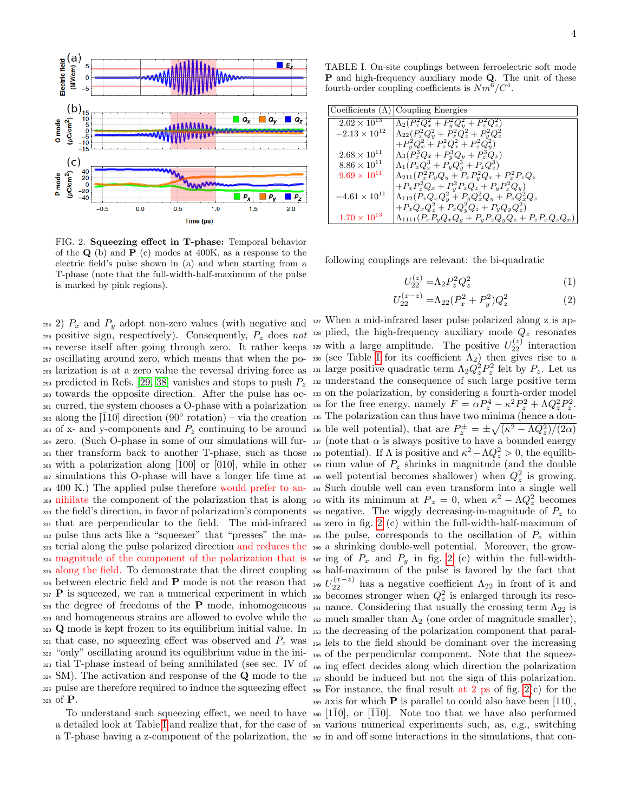

<span id="page-3-1"></span>FIG. 2. Squeezing effect in T-phase: Temporal behavior of the  $Q$  (b) and  $P$  (c) modes at 400K, as a response to the electric field's pulse shown in (a) and when starting from a T-phase (note that the full-width-half-maximum of the pulse is marked by pink regions).

295 positive sign, respectively). Consequently,  $P_z$  does not <sup>328</sup> plied, the high-frequency auxiliary mode  $Q_z$  resonates <sup>296</sup> reverse itself after going through zero. It rather keeps <sup>297</sup> oscillating around zero, which means that when the po-298 larization is at a zero value the reversal driving force as <sup>331</sup> large positive quadratic term  $\Lambda_2 Q_z^2 P_z^2$  felt by  $P_z$ . Let us 299 predicted in Refs. [\[29,](#page-7-16) [38\]](#page-7-18) vanishes and stops to push  $P_z$  332 understand the consequence of such large positive term <sup>300</sup> towards the opposite direction. After the pulse has oc-<sup>333</sup> on the polarization, by considering a fourth-order model 301 curred, the system chooses a O-phase with a polarization <sup>334</sup> for the free energy, namely  $F = \alpha P_z^4 - \kappa^2 P_z^2 + \Lambda Q_z^2 P_z^2$ . 302 along the  $\overline{[110]}$  direction  $(90° \text{ rotation}) - \overline{v}$  the creation 335 The polarization can thus have two minima (hence a dou-303 of x- and y-components and  $P_z$  continuing to be around 336 ble well potential), that are  $P_z^{\pm} = \pm \sqrt{(\kappa^2 - \Lambda Q_z^2)/(2\alpha)}$  $304$  zero. (Such O-phase in some of our simulations will fur- $337$  (note that  $\alpha$  is always positive to have a bounded energy 305 ther transform back to another T-phase, such as those 338 potential). If  $\Lambda$  is positive and  $\kappa^2-\Lambda Q_z^2>0$ , the equilib-306 with a polarization along [ $\overline{100}$ ] or  $\overline{010}$ , while in other 339 rium value of  $P_z$  shrinks in magnitude (and the double <sup>307</sup> simulations this O-phase will have a longer life time at <sup>340</sup> well potential becomes shallower) when  $Q_z^2$  is growing. <sup>308</sup> 400 K.) The applied pulse therefore would prefer to an-<sup>341</sup> Such double well can even transform into a single well 309 nihilate the component of the polarization that is along 342 with its minimum at  $P_z = 0$ , when  $\kappa^2 - \Lambda Q_z^2$  becomes 310 the field's direction, in favor of polarization's components 343 negative. The wiggly decreasing-in-magnitude of  $P_z$  to <sup>311</sup> that are perpendicular to the field. The mid-infrared <sup>344</sup> zero in fig. [2](#page-3-1) (c) within the full-width-half-maximum of  $_{312}$  pulse thus acts like a "squeezer" that "presses" the ma- $_{345}$  the pulse, corresponds to the oscillation of  $P_z$  within 313 terial along the pulse polarized direction and reduces the  $\frac{346}{46}$  a shrinking double-well potential. Moreover, the grow-314 magnitude of the component of the polarization that is  $\frac{3}{47}$  ing of  $P_x$  and  $P_y$  in fig. [2](#page-3-1) (c) within the full-width-315 along the field. To demonstrate that the direct coupling <sup>316</sup> between electric field and P mode is not the reason that  $_{317}$  P is squeezed, we ran a numerical experiment in which 318 the degree of freedoms of the **P** mode, inhomogeneous  $_{351}$  nance. Considering that usually the crossing term  $\Lambda_{22}$  is 319 and homogeneous strains are allowed to evolve while the  $\frac{352}{12}$  much smaller than  $\Lambda_2$  (one order of magnitude smaller),  $320 \text{ Q}$  mode is kept frozen to its equilibrium initial value. In  $_{353}$  the decreasing of the polarization component that paral- $321$  that case, no squeezing effect was observed and  $P_z$  was  $_{354}$  lels to the field should be dominant over the increasing <sup>322</sup> "only" oscillating around its equilibrium value in the ini-<sub>355</sub> of the perpendicular component. Note that the squeez-<sup>323</sup> tial T-phase instead of being annihilated (see sec. IV of <sup>356</sup> ing effect decides along which direction the polarization  $324$  SM). The activation and response of the Q mode to the  $357$  should be induced but not the sign of this polarization. 325 pulse are therefore required to induce the squeezing effect  $\frac{358}{358}$  For instance, the final result at 2 ps of fig. [2\(](#page-3-1)c) for the <sup>326</sup> of P.

<span id="page-3-0"></span>TABLE I. On-site couplings between ferroelectric soft mode P and high-frequency auxiliary mode Q. The unit of these fourth-order coupling coefficients is  $Nm^6/C^4$ .

|                        | Coefficients $(\Lambda)$ Coupling Energies                       |
|------------------------|------------------------------------------------------------------|
| $2.02 \times 10^{13}$  | $\Lambda_2(P_x^2Q_x^2+P_y^2Q_y^2+P_z^2Q_z^2)$                    |
| $-2.13 \times 10^{12}$ | $\Lambda_{22}(P_x^2Q_y^2+\tilde{P}_x^2\tilde{Q}_z^2+P_u^2Q_z^2)$ |
|                        | $+P_y^2Q_x^2+P_z^2Q_x^2+P_z^2Q_y^2$                              |
| $2.68 \times 10^{11}$  | $\Lambda_3(P_x^3Q_x+P_y^3Q_y+P_z^3Q_z)$                          |
| $8.86 \times 10^{11}$  | $\Lambda_1 (P_x Q_x^3 + P_y Q_y^3 + P_z Q_z^3)$                  |
| $9.69 \times 10^{11}$  | $\Lambda_{211}(P_x^2P_yQ_y+P_xP_y^2Q_x+P_x^2P_zQ_z)$             |
|                        | $+P_xP_z^2Q_x+P_y^2P_zQ_z+P_yP_z^2Q_y)$                          |
| $-4.61 \times 10^{11}$ | $\Lambda_{112}(P_xQ_xQ_y^2+P_yQ_x^2Q_y+P_zQ_x^2Q_z)$             |
|                        | $+P_xQ_xQ_z^2+P_zQ_y^2Q_z+P_yQ_yQ_z^2)$                          |
| $1.70 \times 10^{13}$  | $\Lambda_{1111}(P_xP_yQ_xQ_y+P_yP_zQ_yQ_z+P_zP_xQ_zQ_x)$         |

following couplings are relevant: the bi-quadratic

<span id="page-3-2"></span>
$$
U_{22}^{(z)} = \Lambda_2 P_z^2 Q_z^2 \tag{1}
$$

$$
U_{22}^{(x-z)} = \Lambda_{22} (P_x^2 + P_y^2) Q_z^2 \tag{2}
$$

294 2)  $P_x$  and  $P_y$  adopt non-zero values (with negative and <sup>327</sup> When a mid-infrared laser pulse polarized along z is ap-To understand such squeezing effect, we need to have  $\frac{110}{10}$ , or  $\left[1\overline{1}0\right]$ . Note too that we have also performed a detailed look at Table [I](#page-3-0) and realize that, for the case of <sup>361</sup> various numerical experiments such, as, e.g., switching a T-phase having a z-component of the polarization, the  $\frac{362}{10}$  in and off some interactions in the simulations, that con-<sup>329</sup> with a large amplitude. The positive  $U_{22}^{(z)}$  interaction 330 (see Table [I](#page-3-0) for its coefficient  $\Lambda_2$ ) then gives rise to a <sup>348</sup> half-maximum of the pulse is favored by the fact that <sup>349</sup>  $U_{22}^{(x-z)}$  has a negative coefficient  $\Lambda_{22}$  in front of it and  $\frac{1}{350}$  becomes stronger when  $Q_z^2$  is enlarged through its reso- $359$  axis for which **P** is parallel to could also have been [110],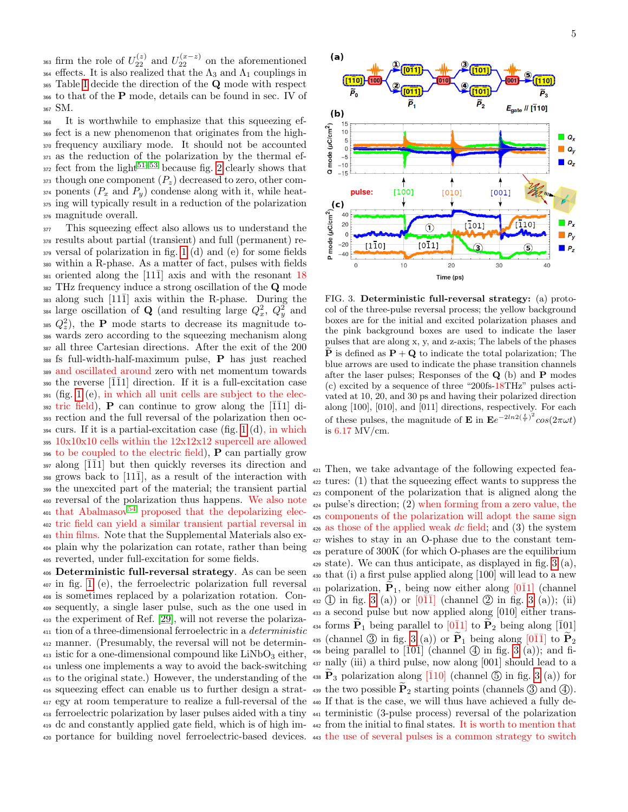<sup>363</sup> firm the role of  $U_{22}^{(z)}$  and  $U_{22}^{(x-z)}$  on the aforementioned <sup>364</sup> effects. It is also realized that the  $\Lambda_3$  and  $\Lambda_1$  couplings in Table [I](#page-3-0) decide the direction of the Q mode with respect to that of the P mode, details can be found in sec. IV of SM.

 It is worthwhile to emphasize that this squeezing ef- fect is a new phenomenon that originates from the high- frequency auxiliary mode. It should not be accounted as the reduction of the polarization by the thermal ef- $\frac{372}{2}$  fect from the light<sup>[51–](#page-8-5)[53](#page-8-6)</sup> because fig. [2](#page-3-1) clearly shows that though one component  $(P_z)$  decreased to zero, other com- ponents  $(P_x \text{ and } P_y)$  condense along with it, while heat- ing will typically result in a reduction of the polarization magnitude overall.

 This squeezing effect also allows us to understand the results about partial (transient) and full (permanent) re- versal of polarization in fig. [1](#page-1-0) (d) and (e) for some fields within a R-phase. As a matter of fact, pulses with fields oriented along the [11 $\overline{1}$ ] axis and with the resonant 18 382 THz frequency induce a strong oscillation of the **Q** mode along such  $[11\bar{1}]$  axis within the R-phase. During the <sup>384</sup> large oscillation of **Q** (and resulting large  $Q_x^2$ ,  $Q_y^2$  and  $Q_z^2$ ), the **P** mode starts to decrease its magnitude to- wards zero according to the squeezing mechanism along all three Cartesian directions. After the exit of the 200 fs full-width-half-maximum pulse, **P** has just reached and oscillated around zero with net momentum towards 390 the reverse  $\left| \overline{1} \overline{1} 1 \right|$  direction. If it is a full-excitation case (fig. [1](#page-1-0) (e), in which all unit cells are subject to the elec- $\frac{392}{111}$  tric field), **P** can continue to grow along the [ $\overline{1}\overline{1}1$ ] di- rection and the full reversal of the polarization then oc- curs. If it is a partial-excitation case (fig. [1](#page-1-0) (d), in which 10x10x10 cells within the 12x12x12 supercell are allowed to be coupled to the electric field), P can partially grow along  $\overline{111}$  but then quickly reverses its direction and 398 grows back to  $[11\overline{1}]$ , as a result of the interaction with the unexcited part of the material; the transient partial reversal of the polarization thus happens. We also note  $\frac{401 \text{ that } Abalmasov^{54}}{201 \text{ proposed that the depolarizing elec-} }$  $\frac{401 \text{ that } Abalmasov^{54}}{201 \text{ proposed that the depolarizing elec-} }$  $\frac{401 \text{ that } Abalmasov^{54}}{201 \text{ proposed that the depolarizing elec-} }$  tric field can yield a similar transient partial reversal in thin films. Note that the Supplemental Materials also ex- plain why the polarization can rotate, rather than being reverted, under full-excitation for some fields.

 Deterministic full-reversal strategy. As can be seen in fig. [1](#page-1-0) (e), the ferroelectric polarization full reversal is sometimes replaced by a polarization rotation. Con- sequently, a single laser pulse, such as the one used in the experiment of Ref. [\[29\]](#page-7-16), will not reverse the polariza- tion of a three-dimensional ferroelectric in a deterministic manner. (Presumably, the reversal will not be determin- istic for a one-dimensional compound like LiNbO<sub>3</sub> either, unless one implements a way to avoid the back-switching to the original state.) However, the understanding of the <sup>416</sup> squeezing effect can enable us to further design a strat-<br>  $\frac{439}{4}$  the two possible  $P_2$  starting points (channels  $\left(\frac{3}{4}\right)$  and  $\left(\frac{4}{4}\right)$ . egy at room temperature to realize a full-reversal of the <sup>440</sup> If that is the case, we will thus have achieved a fully de- ferroelectric polarization by laser pulses aided with a tiny <sup>441</sup> terministic (3-pulse process) reversal of the polarization <sup>419</sup> dc and constantly applied gate field, which is of high im- <sup>442</sup> from the initial to final states. It is worth to mention that



<span id="page-4-0"></span>FIG. 3. Deterministic full-reversal strategy: (a) protocol of the three-pulse reversal process; the yellow background boxes are for the initial and excited polarization phases and the pink background boxes are used to indicate the laser pulses that are along x, y, and z-axis; The labels of the phases  $\dot{\mathbf{P}}$  is defined as  $\mathbf{P} + \mathbf{Q}$  to indicate the total polarization; The blue arrows are used to indicate the phase transition channels after the laser pulses; Responses of the  $Q$  (b) and  $P$  modes (c) excited by a sequence of three "200fs-18THz" pulses activated at 10, 20, and 30 ps and having their polarized direction along [100], [010], and [011] directions, respectively. For each of these pulses, the magnitude of **E** in  $\mathbf{E}e^{-2ln2(\frac{t}{\tau})^2}cos(2\pi\omega t)$ is 6.17 MV/cm.

 portance for building novel ferroelectric-based devices. <sup>443</sup> the use of several pulses is a common strategy to switch Then, we take advantage of the following expected fea- tures: (1) that the squeezing effect wants to suppress the component of the polarization that is aligned along the pulse's direction; (2) when forming from a zero value, the components of the polarization will adopt the same sign as those of the applied weak dc field; and (3) the system wishes to stay in an O-phase due to the constant tem- perature of 300K (for which O-phases are the equilibrium  $_{429}$  state). We can thus anticipate, as displayed in fig. [3](#page-4-0) (a), that (i) a first pulse applied along [100] will lead to a new 431 polarization,  $\tilde{P}_1$ , being now either along [0 $\overline{1}1$ ] (channel  $_{432}$  (1) in fig. [3](#page-4-0) (a)) or  $[01\overline{1}]$  (channel 2) in fig. 3 (a)); (ii) a second pulse but now applied along [010] either trans-<sup>434</sup> forms  $\tilde{P}_1$  being parallel to  $[0\overline{1}1]$  to  $\tilde{P}_2$  being along  $[\overline{1}01]$ 435 (channel [3](#page-4-0)) in fig. 3 (a)) or  $\tilde{P}_1$  being along  $[0\overline{1}\overline{1}]$  to  $\tilde{P}_2$  $\frac{436}{436}$  being parallel to  $\overline{101}$  (channel  $\overline{4}$ ) in fig. [3](#page-4-0) (a)); and fi- nally (iii) a third pulse, now along [001] should lead to a  $\widetilde{P}_3$  polarization along [10] (channel  $\circledS$  in fig. [3](#page-4-0) (a)) for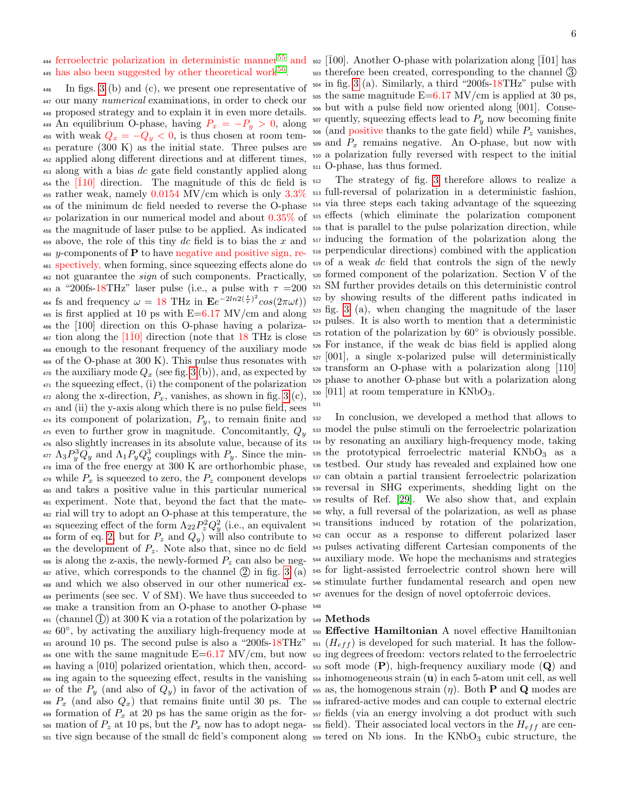445 has also been suggested by other theoretical work<sup>[56](#page-8-9)</sup>.

 In figs. [3](#page-4-0) (b) and (c), we present one representative of our many numerical examinations, in order to check our proposed strategy and to explain it in even more details. 449 An equilibrium O-phase, having  $P_x = -P_y > 0$ , along 450 with weak  $Q_x = -Q_y < 0$ , is thus chosen at room tem- perature (300 K) as the initial state. Three pulses are applied along different directions and at different times, along with a bias dc gate field constantly applied along the  $\overline{110}$  direction. The magnitude of this dc field is  $\frac{455 \text{ rather weak}}{3.3\%}$  of the minimum dc field needed to reverse the O-phase polarization in our numerical model and about 0.35% of the magnitude of laser pulse to be applied. As indicated above, the role of this tiny dc field is to bias the x and y-components of **P** to have negative and positive sign, re- spectively, when forming, since squeezing effects alone do not guarantee the sign of such components. Practically, <sup>463</sup> a "200fs-18THz" laser pulse (i.e., a pulse with  $\tau = 200$ <sup>464</sup> fs and frequency  $\omega = 18$  THz in  $\mathbf{E}e^{-2ln2(\frac{t}{\tau})^2}cos(2\pi\omega t)$  is first applied at 10 ps with  $E=6.17$  MV/cm and along the [100] direction on this O-phase having a polariza- tion along the [1 $\overline{10}$ ] direction (note that 18 THz is close enough to the resonant frequency of the auxiliary mode of the O-phase at 300 K). This pulse thus resonates with  $\alpha$ <sup>170</sup> the auxiliary mode  $Q_x$  (see fig. [3](#page-4-0) (b)), and, as expected by the squeezing effect, (i) the component of the polarization  $_{472}$  along the x-direction,  $P_x$ , vanishes, as shown in fig. [3](#page-4-0) (c), and (ii) the y-axis along which there is no pulse field, sees its component of polarization,  $P_y$ , to remain finite and even to further grow in magnitude. Concomitantly,  $Q_y$  also slightly increases in its absolute value, because of its <sup>534</sup> by resonating an auxiliary high-frequency mode, taking  $\Lambda_3 P_y^3 Q_y$  and  $\Lambda_1 P_y Q_y^3$  couplings with  $P_y$ . Since the min- <sup>535</sup> the prototypical ferroelectric material KNbO<sub>3</sub> as a  $\frac{3}{478}$  ima of the free energy at 300 K are orthorhombic phase,  $\frac{536}{478}$  testbed. Our study has revealed and explained how one  $\mu_{19}$  while  $P_x$  is squeezed to zero, the  $P_z$  component develops  $\frac{537}{2}$  can obtain a partial transient ferroelectric polarization and takes a positive value in this particular numerical <sup>538</sup> reversal in SHG experiments, shedding light on the experiment. Note that, beyond the fact that the mate-<sup>539</sup> results of Ref. [\[29\]](#page-7-16). We also show that, and explain rial will try to adopt an O-phase at this temperature, the <sup>540</sup> why, a full reversal of the polarization, as well as phase 483 squeezing effect of the form  $\Lambda_{22}P_z^2Q_y^2$  (i.e., an equivalent <sup>541</sup> transitions induced by rotation of the polarization, 484 form of eq. [2,](#page-3-2) but for  $P_z$  and  $Q_y$ ) will also contribute to  $542$  can occur as a response to different polarized laser 485 the development of  $P_z$ . Note also that, since no dc field  $\frac{543}{2}$  pulses activating different Cartesian components of the  $\mu_{486}$  is along the z-axis, the newly-formed  $P_z$  can also be neg-  $\mu_{486}$  auxiliary mode. We hope the mechanisms and strategies 487 ative, which corresponds to the channel  $(2)$  in fig. [3](#page-4-0)  $(a)$  545 for light-assisted ferroelectric control shown here will and which we also observed in our other numerical ex-<sup>546</sup> stimulate further fundamental research and open new periments (see sec. V of SM). We have thus succeeded to <sup>547</sup> avenues for the design of novel optoferroic devices. make a transition from an O-phase to another O-phase  $_{491}$  (channel 1) at 300 K via a rotation of the polarization by  $_{549}$  Methods  $60^\circ$ , by activating the auxiliary high-frequency mode at  $550$  Effective Hamiltonian A novel effective Hamiltonian 493 around 10 ps. The second pulse is also a "200fs-18THz"  $\frac{551}{H_{eff}}$  is developed for such material. It has the follow-494 one with the same magnitude  $E=6.17$  MV/cm, but now  $552$  ing degrees of freedom: vectors related to the ferroelectric 495 having a [010] polarized orientation, which then, accord-  $\frac{1}{2}$  soft mode (P), high-frequency auxiliary mode (Q) and  $\frac{496}{10}$  ing again to the squeezing effect, results in the vanishing  $\frac{554}{10}$  inhomogeneous strain (**u**) in each 5-atom unit cell, as well 497 of the  $P_y$  (and also of  $Q_y$ ) in favor of the activation of 555 as, the homogenous strain  $(\eta)$ . Both **P** and **Q** modes are  $P_x$  (and also  $Q_x$ ) that remains finite until 30 ps. The  $\frac{1}{556}$  infrared-active modes and can couple to external electric 499 formation of  $P_x$  at 20 ps has the same origin as the for-557 fields (via an energy involving a dot product with such 500 mation of  $P_z$  at 10 ps, but the  $P_x$  now has to adopt nega- 558 field). Their associated local vectors in the  $H_{eff}$  are cen-

<sup>444</sup> ferroelectric polarization in deterministic manner<sup>[55](#page-8-8)</sup> and <sup>502</sup> [ $\bar{1}00$ ]. Another O-phase with polarization along [ $\bar{1}01$ ] has therefore been created, corresponding to the channel 3 in fig. [3](#page-4-0) (a). Similarly, a third "200fs-18THz" pulse with  $\frac{505}{205}$  the same magnitude  $E=6.17$  MV/cm is applied at 30 ps, but with a pulse field now oriented along [001]. Conse- quently, squeezing effects lead to  $P_y$  now becoming finite (and positive thanks to the gate field) while  $P<sub>z</sub>$  vanishes,  $\frac{509}{100}$  and  $P_x$  remains negative. An O-phase, but now with a polarization fully reversed with respect to the initial O-phase, has thus formed.

> The strategy of fig. [3](#page-4-0) therefore allows to realize a full-reversal of polarization in a deterministic fashion, via three steps each taking advantage of the squeezing effects (which eliminate the polarization component that is parallel to the pulse polarization direction, while inducing the formation of the polarization along the perpendicular directions) combined with the application of a weak dc field that controls the sign of the newly formed component of the polarization. Section V of the SM further provides details on this deterministic control by showing results of the different paths indicated in fig. [3](#page-4-0) (a), when changing the magnitude of the laser pulses. It is also worth to mention that a deterministic rotation of the polarization by  $60^\circ$  is obviously possible. For instance, if the weak dc bias field is applied along [001], a single x-polarized pulse will deterministically transform an O-phase with a polarization along [110] phase to another O-phase but with a polarization along  $_{530}$  [011] at room temperature in KNbO<sub>3</sub>.

> In conclusion, we developed a method that allows to model the pulse stimuli on the ferroelectric polarization

 $\frac{501}{2}$  tive sign because of the small dc field's component along  $\frac{559}{2}$  tered on Nb ions. In the KNbO<sub>3</sub> cubic structure, the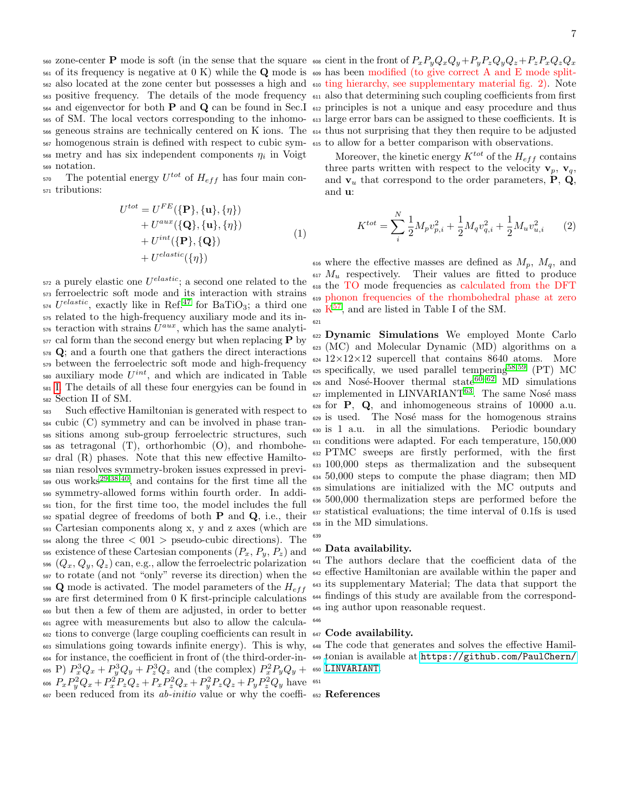zone-center P mode is soft (in the sense that the square <sup>608</sup> cient in the front of PxPyQxQy+PyPzQyQz+PzPxQzQ<sup>x</sup>  $\mathfrak{so}_1$  of its frequency is negative at 0 K) while the Q mode is  $\mathfrak{so}_9$  has been modified (to give correct A and E mode split- also located at the zone center but possesses a high and <sup>610</sup> ting hierarchy, see supplementary material fig. 2). Note positive frequency. The details of the mode frequency  $611$  also that determining such coupling coefficients from first  $_{564}$  and eigenvector for both **P** and **Q** can be found in Sec.I  $_{612}$  principles is not a unique and easy procedure and thus of SM. The local vectors corresponding to the inhomo-<sup>613</sup> large error bars can be assigned to these coefficients. It is geneous strains are technically centered on K ions. The <sup>614</sup> thus not surprising that they then require to be adjusted homogenous strain is defined with respect to cubic sym-<sup>615</sup> to allow for a better comparison with observations.  $\frac{1}{10}$  so metry and has six independent components  $\eta_i$  in Voigt notation.

 $\sigma$  The potential energy  $U^{tot}$  of  $H_{eff}$  has four main con-tributions:

$$
U^{tot} = U^{FE}(\{\mathbf{P}\}, \{\mathbf{u}\}, \{\eta\})
$$
  
+ 
$$
U^{aux}(\{\mathbf{Q}\}, \{\mathbf{u}\}, \{\eta\})
$$
  
+ 
$$
U^{int}(\{\mathbf{P}\}, \{\mathbf{Q}\})
$$
  
+ 
$$
U^{elastic}(\{\eta\})
$$
 (1)

 $\mathbf{572}$  a purely elastic one  $U^{elastic}$ ; a second one related to the ferroelectric soft mode and its interaction with strains  $_{574}$   $U^{elastic}$ , exactly like in Ref.<sup>[47](#page-8-3)</sup> for BaTiO<sub>3</sub>; a third one related to the high-frequency auxiliary mode and its in- teraction with strains  $U^{aux}$ , which has the same analyti- cal form than the second energy but when replacing **P** by Q; and a fourth one that gathers the direct interactions between the ferroelectric soft mode and high-frequency  $\alpha$ <sub>580</sub> auxiliary mode  $U^{int}$ , and which are indicated in Table [I.](#page-3-0) The details of all these four energyies can be found in Section II of SM.

 Such effective Hamiltonian is generated with respect to cubic (C) symmetry and can be involved in phase tran- sitions among sub-group ferroelectric structures, such as tetragonal (T), orthorhombic (O), and rhombohe- dral (R) phases. Note that this new effective Hamilto- nian resolves symmetry-broken issues expressed in previ- ous works<sup>[29,](#page-7-16)[38](#page-7-18)[,40](#page-7-23)</sup>, and contains for the first time all the symmetry-allowed forms within fourth order. In addi- tion, for the first time too, the model includes the full spatial degree of freedoms of both **P** and **Q**, i.e., their Cartesian components along x, y and z axes (which are  $_{594}$  along the three  $< 001$   $>$  pseudo-cubic directions). The 595 existence of these Cartesian components  $(P_x, P_y, P_z)$  and  $(Q_x, Q_y, Q_z)$  can, e.g., allow the ferroelectric polarization to rotate (and not "only" reverse its direction) when the **Q** mode is activated. The model parameters of the  $H_{eff}$  are first determined from 0 K first-principle calculations but then a few of them are adjusted, in order to better agree with measurements but also to allow the calcula- tions to converge (large coupling coefficients can result in  $647$  Code availability. simulations going towards infinite energy). This is why, <sup>648</sup> The code that generates and solves the effective Hamil- for instance, the coefficient in front of (the third-order-in-<sup>649</sup> [t](https://github.com/PaulChern/LINVARIANT)onian is available at [https://github.com/PaulChern/](https://github.com/PaulChern/LINVARIANT) <sup>605</sup> P)  $P_x^3 Q_x + P_y^3 Q_y + P_z^3 Q_z$  and (the complex)  $P_x^2 P_y Q_y +$ <sup>606</sup>  $P_x P_y^2 Q_x + P_x^2 P_z Q_z + P_x P_z^2 Q_x + P_y^2 P_z Q_z + P_y P_z^2 Q_y$  have 607 been reduced from its *ab-initio* value or why the coeffi-

Moreover, the kinetic energy  $K^{tot}$  of the  $H_{eff}$  contains three parts written with respect to the velocity  $\mathbf{v}_p$ ,  $\mathbf{v}_q$ , and  $v_u$  that correspond to the order parameters, **P**, **Q**, and u:

$$
K^{tot} = \sum_{i}^{N} \frac{1}{2} M_p v_{p,i}^2 + \frac{1}{2} M_q v_{q,i}^2 + \frac{1}{2} M_u v_{u,i}^2 \qquad (2)
$$

616 where the effective masses are defined as  $M_p$ ,  $M_q$ , and  $M_u$  respectively. Their values are fitted to produce the TO mode frequencies as calculated from the DFT phonon frequencies of the rhombohedral phase at zero  $K^{57}$  $K^{57}$  $K^{57}$ , and are listed in Table I of the SM.

 Dynamic Simulations We employed Monte Carlo (MC) and Molecular Dynamic (MD) algorithms on a 12×12×12 supercell that contains 8640 atoms. More specifically, we used parallel tempering[58,](#page-8-11)[59](#page-8-12) (PT) MC  $\epsilon_{0.6}$  and Nosé-Hoover thermal state<sup>[60–](#page-8-13)[62](#page-8-14)</sup> MD simulations  $\epsilon$ <sub>27</sub> implemented in LINVARIANT<sup>[63](#page-8-15)</sup>. The same Nosé mass for  $P$ ,  $Q$ , and inhomogeneous strains of 10000 a.u. 629 is used. The Nosé mass for the homogenous strains is 1 a.u. in all the simulations. Periodic boundary conditions were adapted. For each temperature, 150,000 PTMC sweeps are firstly performed, with the first 100,000 steps as thermalization and the subsequent 50,000 steps to compute the phase diagram; then MD simulations are initialized with the MC outputs and 500,000 thermalization steps are performed before the statistical evaluations; the time interval of 0.1fs is used in the MD simulations.

# Data availability.

 The authors declare that the coefficient data of the effective Hamiltonian are available within the paper and its supplementary Material; The data that support the findings of this study are available from the correspond-ing author upon reasonable request.

[LINVARIANT](https://github.com/PaulChern/LINVARIANT).

### References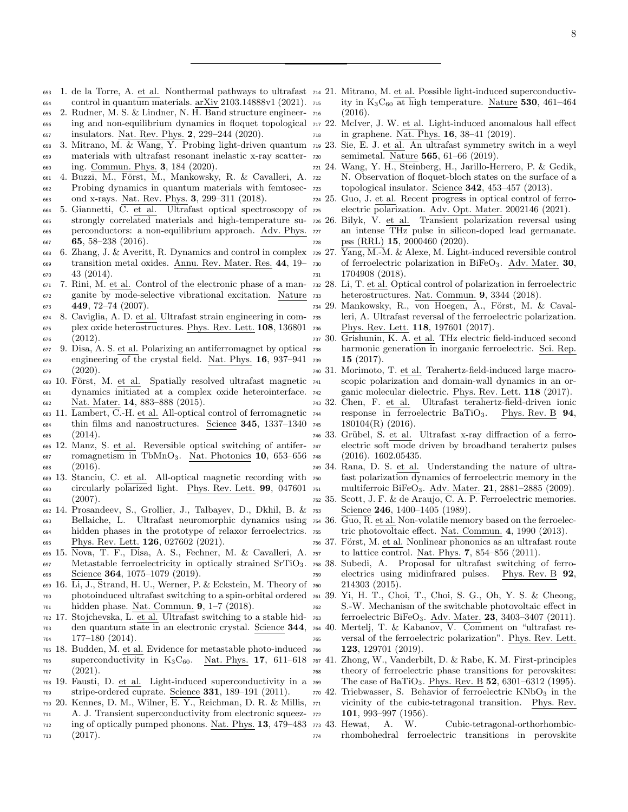- <span id="page-7-0"></span> 1. de la Torre, A. et al. Nonthermal pathways to ultrafast <sup>714</sup> 21. Mitrano, M. et al. Possible light-induced superconductiv-control in quantum materials. arXiv 2103.14888v1 (2021).
- 2. Rudner, M. S. & Lindner, N. H. Band structure engineer- ing and non-equilibrium dynamics in floquet topological  $717$  22. insulators. Nat. Rev. Phys. 2, 229–244 (2020).
- 3. Mitrano, M. & Wang, Y. Probing light-driven quantum materials with ultrafast resonant inelastic x-ray scatter-ing. Commun. Phys. 3, 184 (2020).
- 661 4. Buzzi, M., Först, M., Mankowsky, R. & Cavalleri, A. 722 Probing dynamics in quantum materials with femtosec-ond x-rays. Nat. Rev. Phys. 3, 299–311 (2018).
- 5. Giannetti, C. et al. Ultrafast optical spectroscopy of 665 strongly correlated materials and high-temperature su-  $726\,26$ . perconductors: a non-equilibrium approach. Adv. Phys.  $65, 58-238$  (2016).
- <span id="page-7-1"></span> 6. Zhang, J. & Averitt, R. Dynamics and control in complex <sup>729</sup> 27. Yang, M.-M. & Alexe, M. Light-induced reversible control transition metal oxides. Annu. Rev. Mater. Res. 44, 19–  $670 \quad 43 \quad (2014)$ .
- <span id="page-7-2"></span> 7. Rini, M. et al. Control of the electronic phase of a man- ganite by mode-selective vibrational excitation. Nature 449, 72-74 (2007).
- <span id="page-7-3"></span> 8. Caviglia, A. D. et al. Ultrafast strain engineering in com- plex oxide heterostructures. Phys. Rev. Lett. 108, 136801  $(2012).$
- <span id="page-7-4"></span> 9. Disa, A. S. et al. Polarizing an antiferromagnet by optical engineering of the crystal field. Nat. Phys. 16, 937–941 (2020).
- 680 10. Först, M. et al. Spatially resolved ultrafast magnetic 741 dynamics initiated at a complex oxide heterointerface. Nat. Mater. 14, 883–888 (2015).
- 11. Lambert, C.-H. et al. All-optical control of ferromagnetic 684 thin films and nanostructures. Science 345, 1337-1340 745  $(2014).$
- 12. Manz, S. et al. Reversible optical switching of antifer- romagnetism in TbMnO<sub>3</sub>. Nat. Photonics 10, 653–656  $(2016)$ .
- <span id="page-7-5"></span> 13. Stanciu, C. et al. All-optical magnetic recording with circularly polarized light. Phys. Rev. Lett. 99, 047601  $(2007)$ .
- <span id="page-7-6"></span> 14. Prosandeev, S., Grollier, J., Talbayev, D., Dkhil, B. & Bellaiche, L. Ultrafast neuromorphic dynamics using <sub>694</sub> hidden phases in the prototype of relaxor ferroelectrics. 755 695 Phys. Rev. Lett. **126**, 027602 (2021).
- 15. Nova, T. F., Disa, A. S., Fechner, M. & Cavalleri, A. Metastable ferroelectricity in optically strained SrTiO3. 698 Science **364**, 1075–1079 (2019).
- 16. Li, J., Strand, H. U., Werner, P. & Eckstein, M. Theory of photoinduced ultrafast switching to a spin-orbital ordered hidden phase. Nat. Commun. 9, 1–7 (2018).
- <span id="page-7-7"></span> 17. Stojchevska, L. et al. Ultrafast switching to a stable hid- den quantum state in an electronic crystal. Science 344, 177–180 (2014).
- <span id="page-7-8"></span> 18. Budden, M. et al. Evidence for metastable photo-induced superconductivity in  $K_3C_{60}$ . Nat. Phys. 17, 611–618 (2021).
- 19. Fausti, D. et al. Light-induced superconductivity in a stripe-ordered cuprate. Science 331, 189–191 (2011).
- 20. Kennes, D. M., Wilner, E. Y., Reichman, D. R. & Millis, A. J. Transient superconductivity from electronic squeez-
- ing of optically pumped phonons. Nat. Phys. 13, 479–483  $713 \t(2017).$
- <span id="page-7-9"></span>ity in  $K_3C_{60}$  at high temperature. Nature 530, 461–464  $(2016).$
- <span id="page-7-10"></span>McIver, J. W. et al. Light-induced anomalous hall effect in graphene. Nat. Phys. 16, 38–41 (2019).
- 23. Sie, E. J. et al. An ultrafast symmetry switch in a weyl semimetal. Nature 565, 61–66 (2019).
- <span id="page-7-11"></span> 24. Wang, Y. H., Steinberg, H., Jarillo-Herrero, P. & Gedik, N. Observation of floquet-bloch states on the surface of a topological insulator. Science 342, 453–457 (2013).
- <span id="page-7-12"></span> 25. Guo, J. et al. Recent progress in optical control of ferro-electric polarization. Adv. Opt. Mater. 2002146 (2021).
- <span id="page-7-22"></span>Bilyk, V. et al. Transient polarization reversal using an intense THz pulse in silicon-doped lead germanate. pss (RRL) 15, 2000460 (2020).
- <span id="page-7-19"></span> of ferroelectric polarization in BiFeO3. Adv. Mater. 30, 1704908 (2018).
	- Li, T. et al. Optical control of polarization in ferroelectric heterostructures. Nat. Commun. **9**, 3344 (2018).
- <span id="page-7-20"></span><span id="page-7-16"></span>734 29. Mankowsky, R., von Hoegen, A., Först, M. & Caval- leri, A. Ultrafast reversal of the ferroelectric polarization. Phys. Rev. Lett. 118, 197601 (2017).
- 30. Grishunin, K. A. et al. THz electric field-induced second harmonic generation in inorganic ferroelectric. Sci. Rep. 15 (2017).
- 31. Morimoto, T. et al. Terahertz-field-induced large macroscopic polarization and domain-wall dynamics in an or-ganic molecular dielectric. Phys. Rev. Lett. 118 (2017).
- 32. Chen, F. et al. Ultrafast terahertz-field-driven ionic response in ferroelectric  $BaTiO<sub>3</sub>$ . Phys. Rev. B 94,  $180104(R)$  (2016).
- 746 33. Grübel, S. et al. Ultrafast x-ray diffraction of a ferro- electric soft mode driven by broadband terahertz pulses (2016). 1602.05435.
- <span id="page-7-13"></span> 34. Rana, D. S. et al. Understanding the nature of ultrafast polarization dynamics of ferroelectric memory in the multiferroic BiFeO3. Adv. Mater. 21, 2881–2885 (2009).
- <span id="page-7-15"></span><span id="page-7-14"></span> 35. Scott, J. F. & de Araujo, C. A. P. Ferroelectric memories. Science 246, 1400–1405 (1989).
	- Guo, R. et al. Non-volatile memory based on the ferroelectric photovoltaic effect. Nat. Commun. 4, 1990 (2013).
- <span id="page-7-17"></span>756 37. Först, M. et al. Nonlinear phononics as an ultrafast route to lattice control. Nat. Phys. 7, 854–856 (2011).
- <span id="page-7-18"></span> 38. Subedi, A. Proposal for ultrafast switching of ferro- electrics using midinfrared pulses. Phys. Rev. B 92, 214303 (2015).
- <span id="page-7-21"></span> 39. Yi, H. T., Choi, T., Choi, S. G., Oh, Y. S. & Cheong, S.-W. Mechanism of the switchable photovoltaic effect in ferroelectric BiFeO3. Adv. Mater. 23, 3403–3407 (2011).
- <span id="page-7-23"></span> 40. Mertelj, T. & Kabanov, V. Comment on "ultrafast re- versal of the ferroelectric polarization". Phys. Rev. Lett. 123, 129701 (2019).
- <span id="page-7-24"></span> 41. Zhong, W., Vanderbilt, D. & Rabe, K. M. First-principles theory of ferroelectric phase transitions for perovskites: The case of BaTiO3. Phys. Rev. B 52, 6301–6312 (1995).
- <span id="page-7-25"></span> 42. Triebwasser, S. Behavior of ferroelectric KNbO<sub>3</sub> in the vicinity of the cubic-tetragonal transition. Phys. Rev. **101**, 993–997 (1956).
- <span id="page-7-26"></span> 43. Hewat, A. W. Cubic-tetragonal-orthorhombic-rhombohedral ferroelectric transitions in perovskite